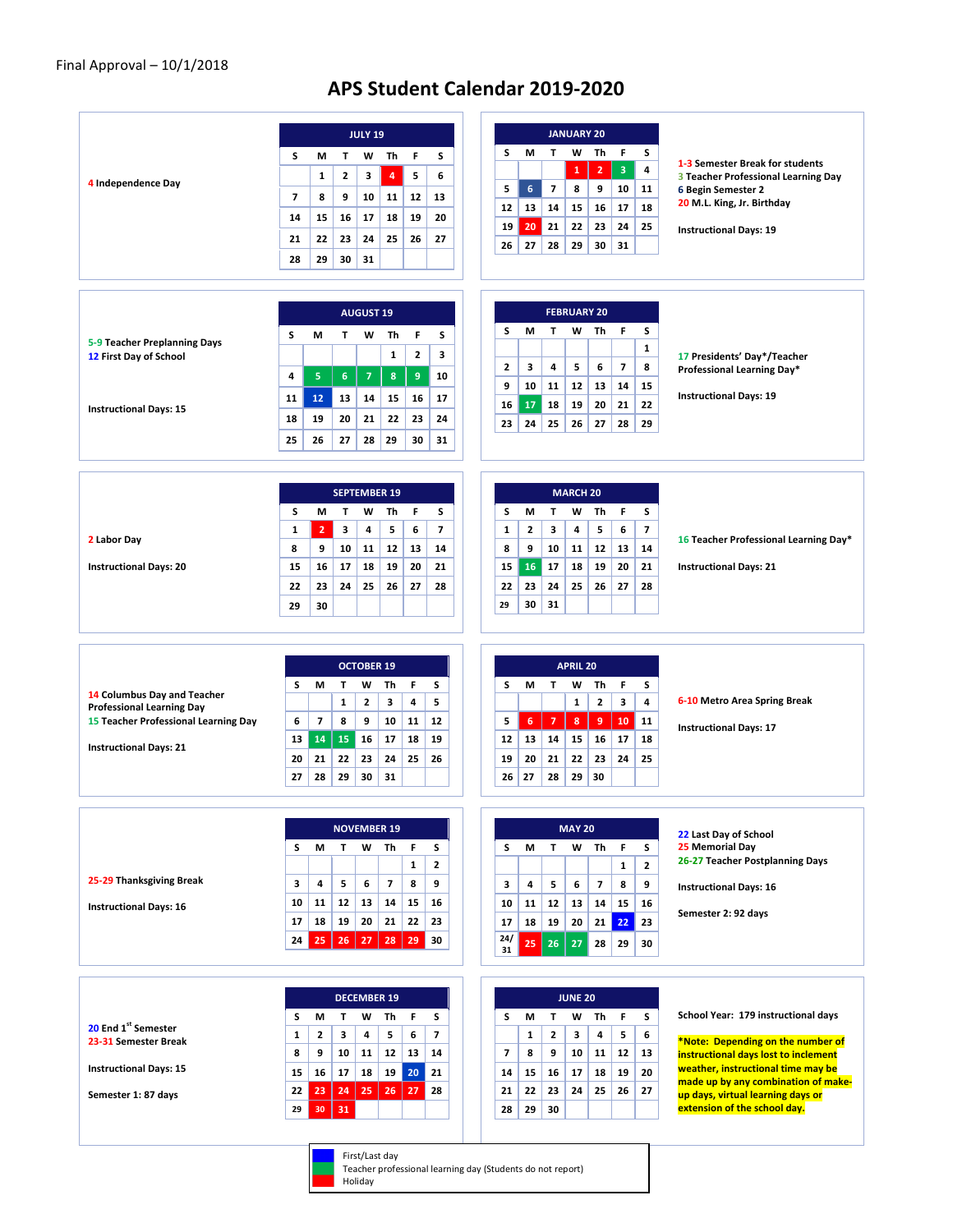## **APS Student Calendar 2019-2020**

|                                                        |                |                          |                | <b>JULY 19</b>      |                          |                  |                          |
|--------------------------------------------------------|----------------|--------------------------|----------------|---------------------|--------------------------|------------------|--------------------------|
|                                                        | S              | M                        | т              | w                   | Τh                       | F                | s                        |
|                                                        |                | 1                        | $\mathbf{2}$   | 3                   | 4                        | 5                | 6                        |
| 4 Independence Day                                     | $\overline{7}$ | 8                        | 9              |                     |                          |                  | 13                       |
|                                                        |                |                          |                | 10                  | 11                       | 12               |                          |
|                                                        | 14             | 15                       | 16             | 17                  | 18                       | 19               | 20                       |
|                                                        | 21             | 22                       | 23             | 24                  | 25                       | 26               | 27                       |
|                                                        | 28             | 29                       | 30             | 31                  |                          |                  |                          |
|                                                        |                |                          |                |                     |                          |                  |                          |
|                                                        |                |                          |                |                     |                          |                  |                          |
|                                                        |                |                          |                | <b>AUGUST 19</b>    |                          |                  |                          |
|                                                        | S              | м                        | T              | W                   | Th                       | F                | s                        |
| 5-9 Teacher Preplanning Days<br>12 First Day of School |                |                          |                |                     | $\mathbf{1}$             | $\mathbf{2}$     | з                        |
|                                                        |                |                          |                |                     |                          |                  |                          |
|                                                        | 4              | 5                        | $6\phantom{a}$ | $\overline{7}$      | 8                        | $\boldsymbol{9}$ | 10                       |
| <b>Instructional Days: 15</b>                          | 11             | 12 <sup>2</sup>          | 13             | 14                  | 15                       | 16               | 17                       |
|                                                        | 18             | 19                       | 20             | 21                  | 22                       | 23               | 24                       |
|                                                        | 25             | 26                       | 27             | 28                  | 29                       | 30               | 31                       |
|                                                        |                |                          |                |                     |                          |                  |                          |
|                                                        |                |                          |                |                     |                          |                  |                          |
|                                                        |                |                          |                | <b>SEPTEMBER 19</b> |                          |                  |                          |
|                                                        | s              | М                        | Т              | W                   | Th                       | F.               | s                        |
|                                                        | 1              | $\overline{2}$           | 3              | 4                   | 5                        | 6                | $\overline{\phantom{a}}$ |
| 2 Labor Day                                            |                |                          |                |                     |                          |                  |                          |
|                                                        | 8              | 9                        | 10             | 11                  | 12                       | 13               | 14                       |
| <b>Instructional Days: 20</b>                          | 15             | 16                       | 17             | 18                  | 19                       | 20               | 21                       |
|                                                        | 22             | 23                       | 24             | 25                  | 26                       | 27               | 28                       |
|                                                        | 29             | 30                       |                |                     |                          |                  |                          |
|                                                        |                |                          |                |                     |                          |                  |                          |
|                                                        |                |                          |                |                     |                          |                  |                          |
|                                                        |                |                          |                |                     |                          |                  |                          |
|                                                        |                |                          |                | <b>OCTOBER 19</b>   |                          |                  |                          |
| 14 Columbus Day and Teacher                            | s              | м                        | т              | w                   | Th                       | F                | s                        |
| <b>Professional Learning Day</b>                       |                |                          | $\mathbf{1}$   | $\mathbf{z}$        | 3                        | 4                | 5                        |
| 15 Teacher Professional Learning Day                   | 6              | $\overline{\phantom{a}}$ | 8              | 9                   | 10                       | 11               | 12                       |
|                                                        | 13             | 14                       | 15             | 16                  | 17                       | 18               | 19                       |
| <b>Instructional Days: 21</b>                          | 20             |                          |                |                     |                          |                  |                          |
|                                                        |                |                          |                |                     |                          |                  |                          |
|                                                        |                | 21                       | 22             | 23                  | 24                       | 25               | 26                       |
|                                                        | 27             | 28                       | 29             | 30                  | 31                       |                  |                          |
|                                                        |                |                          |                |                     |                          |                  |                          |
|                                                        |                |                          |                | <b>NOVEMBER 19</b>  |                          |                  |                          |
|                                                        |                |                          |                |                     |                          |                  |                          |
|                                                        | S              | М                        | T              | w                   | Th                       | F                | s                        |
|                                                        |                |                          |                |                     |                          | $\mathbf{1}$     | $\overline{2}$           |
| 25-29 Thanksgiving Break                               | 3              | 4                        | 5              | 6                   | $\overline{\phantom{a}}$ | 8                | 9                        |
| <b>Instructional Days: 16</b>                          | 10             | 11                       | 12             | 13                  | 14                       | 15               | 16                       |
|                                                        | 17             | 18                       | 19             | 20                  | 21                       | 22               | 23                       |
|                                                        | 24             | 25                       | 26             | 27                  | 28                       | 29               | 30                       |
|                                                        |                |                          |                |                     |                          |                  |                          |
|                                                        |                |                          |                |                     |                          |                  |                          |
|                                                        |                |                          |                |                     |                          |                  |                          |
|                                                        |                |                          |                | <b>DECEMBER 19</b>  |                          |                  |                          |
|                                                        | s              | М                        | т              | W                   | Th                       | F                | s                        |
| 20 End 1st Semester<br>23-31 Semester Break            | $\mathbf{1}$   | $\mathbf{2}$             | 3              | 4                   | 5                        | 6                | $\overline{7}$           |
|                                                        | 8              | 9                        | 10             | 11                  | 12                       | 13               | 14                       |
| <b>Instructional Days: 15</b>                          | 15             | 16                       | 17             | 18                  | 19                       | 20 <sub>2</sub>  | 21                       |
|                                                        | 22             |                          |                |                     |                          |                  | 28                       |
| Semester 1: 87 days                                    | 29             | 23<br>30                 | 24<br>31       | 25                  | 26                       | 27 <sub>2</sub>  |                          |

## First/Last day

Teacher professional learning day (Students do not report)<br>Holiday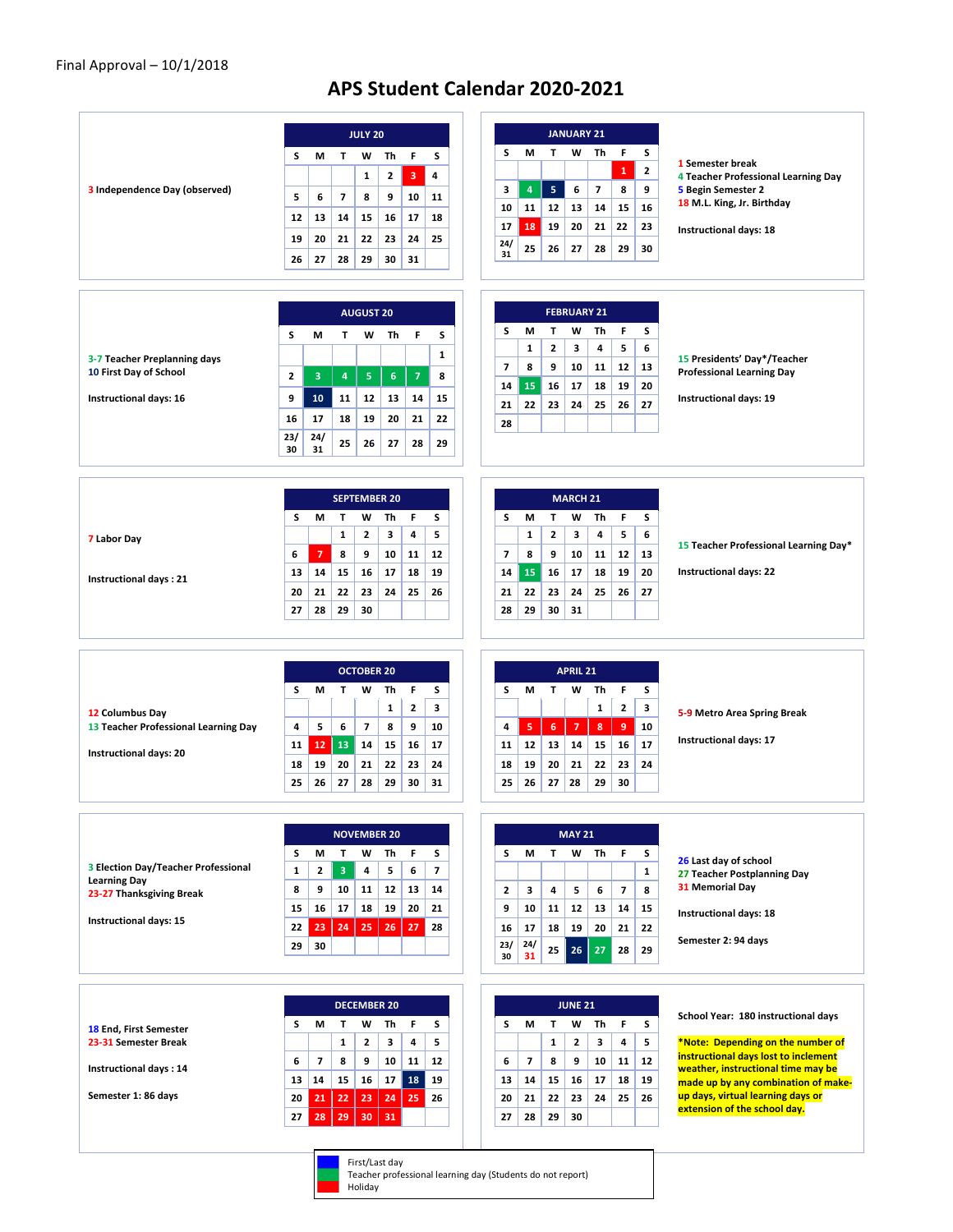## **APS Student Calendar 2020-2021**

|                                                         |                   |                         |                              | <b>JULY 20</b>          |              |                |                         |                               |
|---------------------------------------------------------|-------------------|-------------------------|------------------------------|-------------------------|--------------|----------------|-------------------------|-------------------------------|
|                                                         | s                 | М                       | T                            |                         | w            | Th             | F                       | S                             |
|                                                         |                   |                         |                              |                         | $\mathbf{1}$ | $\mathbf{2}$   | $\overline{\mathbf{3}}$ | 4                             |
| 3 Independence Day (observed)                           | 5                 | 6                       | 7                            |                         | 8            | 9              | 10                      | 11                            |
|                                                         | 12                | 13                      | 14                           |                         | 15           | 16             | 17                      | 18                            |
|                                                         | 19                | 20                      | 21                           |                         | 22           | 23             | 24                      | 25                            |
|                                                         | 26                | 27                      | 28                           |                         | 29           | 30             | 31                      |                               |
|                                                         |                   |                         |                              |                         |              |                |                         |                               |
|                                                         |                   |                         |                              | <b>AUGUST 20</b>        |              |                |                         |                               |
|                                                         | s                 | М                       |                              | Т                       | w            | Th             | F                       | s                             |
| 3-7 Teacher Preplanning days                            |                   |                         |                              |                         |              |                |                         | $\mathbf{1}$                  |
| 10 First Day of School                                  | $\mathbf{2}$      | 3                       |                              | $\overline{\mathbf{4}}$ | ${\sf s}$    | $6\phantom{a}$ | 7                       | 8                             |
| Instructional days: 16                                  | 9                 | 10                      |                              | 11                      | 12           | 13             | 14                      | 15                            |
|                                                         | 16                | 17                      |                              | 18                      | 19           | 20             | 21                      | 22                            |
|                                                         | 23/<br>30         | 24/<br>31               |                              | 25                      | 26           | 27             | 28                      | 29                            |
|                                                         |                   |                         |                              |                         |              |                |                         |                               |
|                                                         |                   |                         |                              | <b>SEPTEMBER 20</b>     |              |                |                         |                               |
|                                                         | s                 | М                       | т                            |                         | W            | Τh             | F                       | s                             |
| 7 Labor Day                                             |                   |                         | $\mathbf{1}$                 |                         | $\mathbf{2}$ | 3              | 4                       | 5                             |
|                                                         | 6                 | $\overline{7}$          | 8                            |                         | 9            | 10             | 11                      | 12                            |
| Instructional days: 21                                  | 13<br>20          | 14<br>21                | 15<br>22                     |                         | 16<br>23     | 17<br>24       | 18<br>25                | 19<br>26                      |
|                                                         | 27                | 28                      | 29                           |                         | 30           |                |                         |                               |
|                                                         |                   |                         |                              |                         |              |                |                         |                               |
|                                                         |                   |                         |                              |                         |              |                |                         |                               |
|                                                         |                   |                         |                              | <b>OCTOBER 20</b>       |              |                |                         |                               |
|                                                         | s                 | М                       | T                            |                         | W            | Th<br>1        | F<br>$\mathbf{2}$       | s<br>3                        |
| 12 Columbus Day<br>13 Teacher Professional Learning Day | 4                 | 5                       | 6                            |                         | 7            | 8              | 9                       | 10                            |
| <b>Instructional days: 20</b>                           | 11                | 12                      | 13                           |                         | 14           | 15             | 16                      | 17                            |
|                                                         | 18                | 19                      | 20                           |                         | 21           | 22             | 23                      | 24                            |
|                                                         | 25                | 26                      | 27                           |                         | 28           | 29             | 30                      | 31                            |
|                                                         |                   |                         |                              |                         |              |                |                         |                               |
|                                                         |                   |                         |                              | <b>NOVEMBER 20</b>      |              |                |                         |                               |
| 3 Election Day/Teacher Professional                     | s                 | м                       | T<br>$\overline{\mathbf{3}}$ |                         | w            | Th<br>5        | F<br>6                  | s<br>$\overline{\phantom{a}}$ |
| <b>Learning Day</b>                                     | $\mathbf{1}$<br>8 | $\overline{2}$<br>9     | 10                           |                         | 4<br>11      | 12             | 13                      | 14                            |
| 23-27 Thanksgiving Break                                | 15                | 16                      | 17                           |                         | 18           | 19             | 20                      | 21                            |
| Instructional days: 15                                  | 22                | 23                      |                              | 24                      | 25           | 26             | 27                      | 28                            |
|                                                         | 29                | 30                      |                              |                         |              |                |                         |                               |
|                                                         |                   |                         |                              |                         |              |                |                         |                               |
|                                                         |                   |                         |                              |                         |              |                |                         |                               |
|                                                         |                   |                         |                              |                         |              |                |                         |                               |
|                                                         | s                 | м                       | Т                            | <b>DECEMBER 20</b>      | w            | Th             | F                       | s                             |
| <b>18 End, First Semester</b><br>23-31 Semester Break   |                   |                         | $\mathbf{1}$                 |                         | $\mathbf{2}$ | 3              | 4                       | 5                             |
|                                                         | 6                 | $\overline{\mathbf{z}}$ | 8                            |                         | 9            | 10             | 11                      | 12                            |
|                                                         | 13                | 14                      | 15                           |                         | 16           | 17             | 18                      | 19                            |
| Instructional days: 14<br>Semester 1: 86 days           | 20<br>27          | 21<br>28                | 22<br>29                     |                         | 23<br>30     | 24<br>31       | 25                      | 26                            |